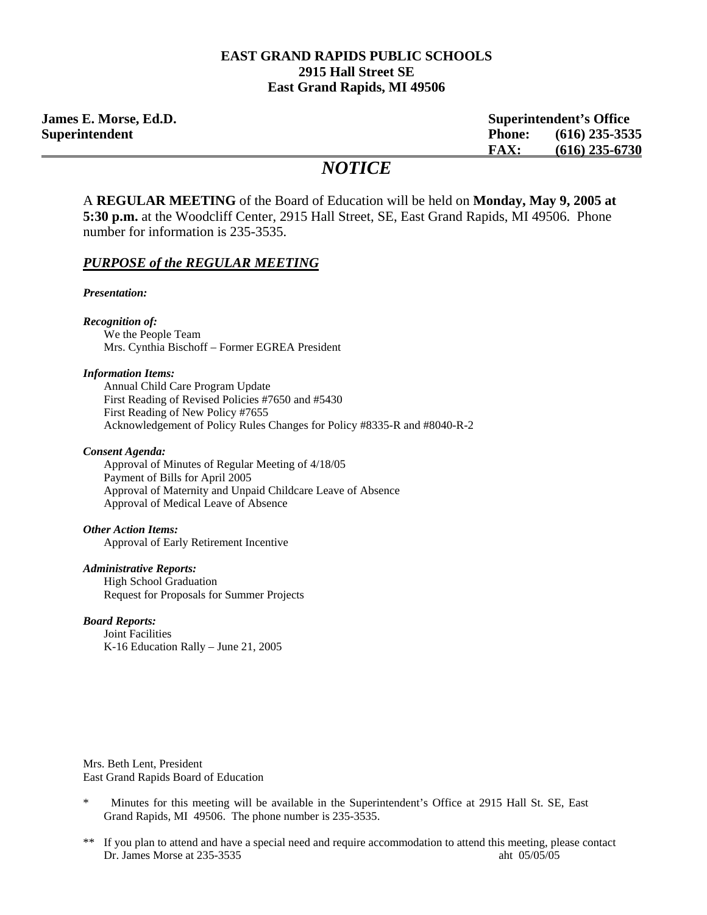#### **EAST GRAND RAPIDS PUBLIC SCHOOLS 2915 Hall Street SE East Grand Rapids, MI 49506**

**James E. Morse, Ed.D. Superintendent's Office Superintendent Phone: (616) 235-3535 FAX: (616) 235-6730**

# *NOTICE*

A **REGULAR MEETING** of the Board of Education will be held on **Monday, May 9, 2005 at 5:30 p.m.** at the Woodcliff Center, 2915 Hall Street, SE, East Grand Rapids, MI 49506. Phone number for information is 235-3535.

#### *PURPOSE of the REGULAR MEETING*

*Presentation:* 

*Recognition of:* 

We the People Team Mrs. Cynthia Bischoff – Former EGREA President

#### *Information Items:*

 Annual Child Care Program Update First Reading of Revised Policies #7650 and #5430 First Reading of New Policy #7655 Acknowledgement of Policy Rules Changes for Policy #8335-R and #8040-R-2

#### *Consent Agenda:*

 Approval of Minutes of Regular Meeting of 4/18/05 Payment of Bills for April 2005 Approval of Maternity and Unpaid Childcare Leave of Absence Approval of Medical Leave of Absence

#### *Other Action Items:*

Approval of Early Retirement Incentive

#### *Administrative Reports:*

**High School Graduation** Request for Proposals for Summer Projects

#### *Board Reports:*

Joint Facilities K-16 Education Rally – June 21, 2005

Mrs. Beth Lent, President East Grand Rapids Board of Education

- \* Minutes for this meeting will be available in the Superintendent's Office at 2915 Hall St. SE, East Grand Rapids, MI 49506. The phone number is 235-3535.
- \*\* If you plan to attend and have a special need and require accommodation to attend this meeting, please contact Dr. James Morse at 235-3535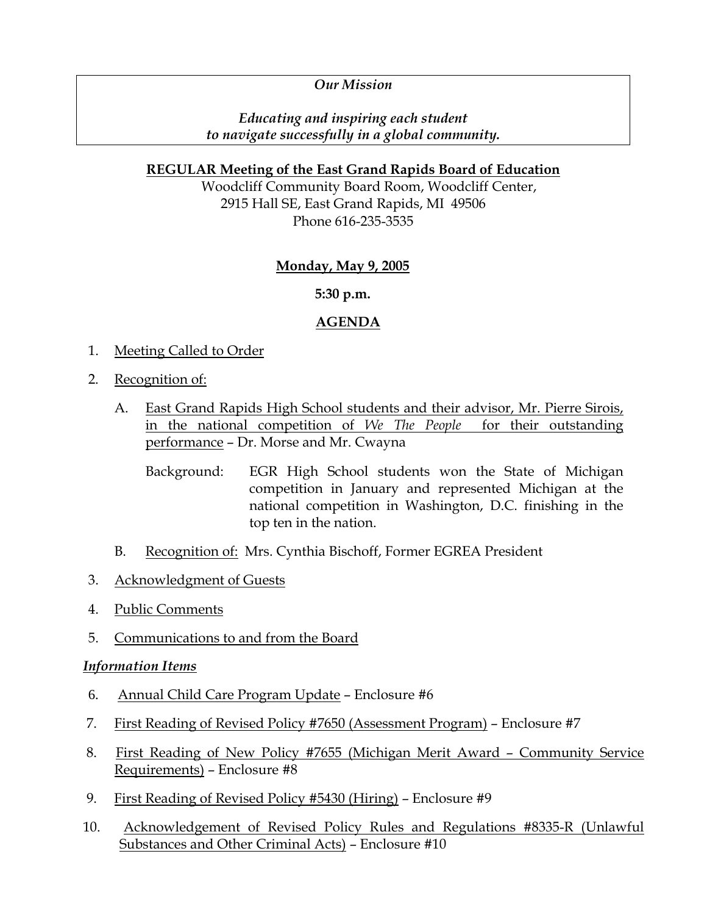# *Our Mission*

# *Educating and inspiring each student to navigate successfully in a global community.*

### **REGULAR Meeting of the East Grand Rapids Board of Education**

Woodcliff Community Board Room, Woodcliff Center, 2915 Hall SE, East Grand Rapids, MI 49506 Phone 616-235-3535

# **Monday, May 9, 2005**

### **5:30 p.m.**

### **AGENDA**

- 1. Meeting Called to Order
- 2. Recognition of:
	- A. East Grand Rapids High School students and their advisor, Mr. Pierre Sirois, in the national competition of *We The People* for their outstanding performance – Dr. Morse and Mr. Cwayna
		- Background: EGR High School students won the State of Michigan competition in January and represented Michigan at the national competition in Washington, D.C. finishing in the top ten in the nation.
	- B. Recognition of: Mrs. Cynthia Bischoff, Former EGREA President
- 3. Acknowledgment of Guests
- 4. Public Comments
- 5. Communications to and from the Board

#### *Information Items*

- 6. Annual Child Care Program Update Enclosure #6
- 7. First Reading of Revised Policy #7650 (Assessment Program) Enclosure #7
- 8. First Reading of New Policy #7655 (Michigan Merit Award Community Service Requirements) – Enclosure #8
- 9. First Reading of Revised Policy #5430 (Hiring) Enclosure #9
- 10. Acknowledgement of Revised Policy Rules and Regulations #8335-R (Unlawful Substances and Other Criminal Acts) – Enclosure #10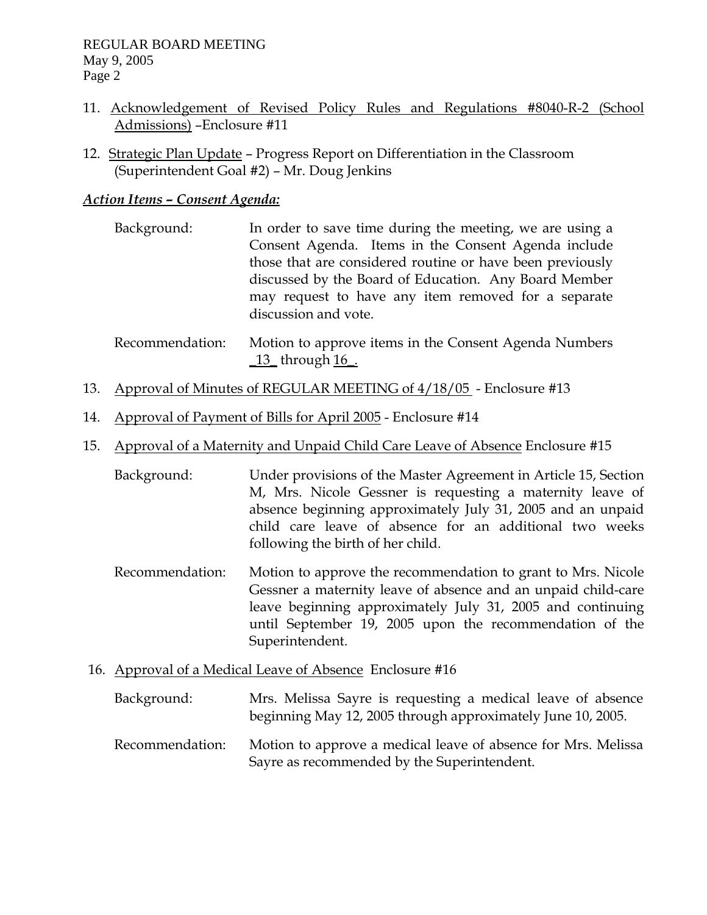- 11. Acknowledgement of Revised Policy Rules and Regulations #8040-R-2 (School Admissions) –Enclosure #11
- 12. Strategic Plan Update Progress Report on Differentiation in the Classroom (Superintendent Goal #2) – Mr. Doug Jenkins

## *Action Items – Consent Agenda:*

- Background: In order to save time during the meeting, we are using a Consent Agenda. Items in the Consent Agenda include those that are considered routine or have been previously discussed by the Board of Education. Any Board Member may request to have any item removed for a separate discussion and vote.
- Recommendation: Motion to approve items in the Consent Agenda Numbers \_13\_ through 16\_.
- 13. Approval of Minutes of REGULAR MEETING of 4/18/05 Enclosure #13
- 14. Approval of Payment of Bills for April 2005 Enclosure #14
- 15. Approval of a Maternity and Unpaid Child Care Leave of Absence Enclosure #15
	- Background: Under provisions of the Master Agreement in Article 15, Section M, Mrs. Nicole Gessner is requesting a maternity leave of absence beginning approximately July 31, 2005 and an unpaid child care leave of absence for an additional two weeks following the birth of her child.
	- Recommendation: Motion to approve the recommendation to grant to Mrs. Nicole Gessner a maternity leave of absence and an unpaid child-care leave beginning approximately July 31, 2005 and continuing until September 19, 2005 upon the recommendation of the Superintendent.
- 16. Approval of a Medical Leave of Absence Enclosure #16

| Background:     | Mrs. Melissa Sayre is requesting a medical leave of absence<br>beginning May 12, 2005 through approximately June 10, 2005. |
|-----------------|----------------------------------------------------------------------------------------------------------------------------|
| Recommendation: | Motion to approve a medical leave of absence for Mrs. Melissa<br>Sayre as recommended by the Superintendent.               |